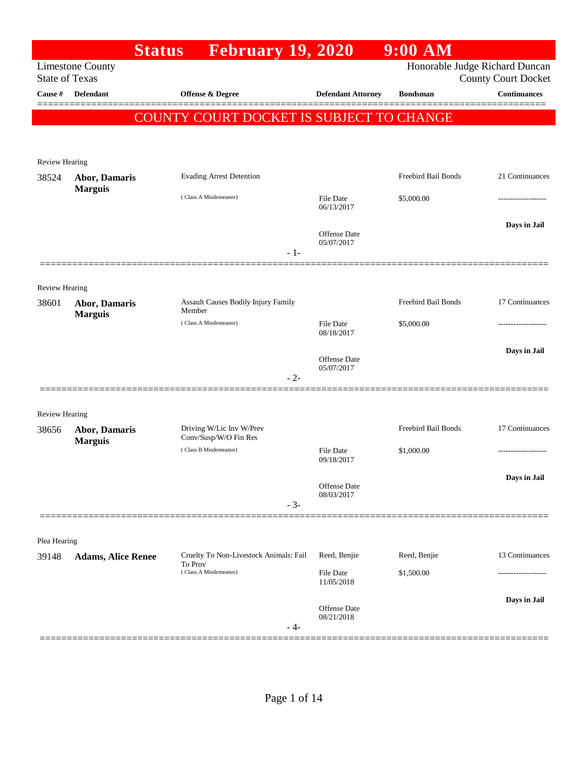|                                  |                           | <b>Status</b><br><b>February 19, 2020</b>         |       |                                   | $9:00$ AM           |                                                   |
|----------------------------------|---------------------------|---------------------------------------------------|-------|-----------------------------------|---------------------|---------------------------------------------------|
|                                  | <b>Limestone County</b>   |                                                   |       |                                   |                     | Honorable Judge Richard Duncan                    |
| <b>State of Texas</b><br>Cause # | Defendant                 | <b>Offense &amp; Degree</b>                       |       | <b>Defendant Attorney</b>         | <b>Bondsman</b>     | <b>County Court Docket</b><br><b>Continuances</b> |
|                                  |                           |                                                   |       |                                   |                     |                                                   |
|                                  |                           | COUNTY COURT DOCKET IS SUBJECT TO CHANGE          |       |                                   |                     |                                                   |
|                                  |                           |                                                   |       |                                   |                     |                                                   |
|                                  |                           |                                                   |       |                                   |                     |                                                   |
| Review Hearing<br>38524          | <b>Abor, Damaris</b>      | <b>Evading Arrest Detention</b>                   |       |                                   | Freebird Bail Bonds | 21 Continuances                                   |
|                                  | <b>Marguis</b>            |                                                   |       |                                   |                     |                                                   |
|                                  |                           | (Class A Misdemeanor)                             |       | File Date<br>06/13/2017           | \$5,000.00          |                                                   |
|                                  |                           |                                                   |       |                                   |                     | Days in Jail                                      |
|                                  |                           |                                                   |       | <b>Offense Date</b><br>05/07/2017 |                     |                                                   |
|                                  |                           |                                                   | $-1-$ |                                   |                     |                                                   |
|                                  |                           |                                                   |       |                                   |                     |                                                   |
| <b>Review Hearing</b>            |                           |                                                   |       |                                   |                     |                                                   |
| 38601                            | <b>Abor, Damaris</b>      | Assault Causes Bodily Injury Family<br>Member     |       |                                   | Freebird Bail Bonds | 17 Continuances                                   |
|                                  | <b>Marguis</b>            | (Class A Misdemeanor)                             |       | File Date                         | \$5,000.00          | ------------------                                |
|                                  |                           |                                                   |       | 08/18/2017                        |                     |                                                   |
|                                  |                           |                                                   |       | Offense Date                      |                     | Days in Jail                                      |
|                                  |                           |                                                   | $-2-$ | 05/07/2017                        |                     |                                                   |
|                                  |                           |                                                   |       |                                   |                     |                                                   |
| <b>Review Hearing</b>            |                           |                                                   |       |                                   |                     |                                                   |
| 38656                            | <b>Abor, Damaris</b>      | Driving W/Lic Inv W/Prev                          |       |                                   | Freebird Bail Bonds | 17 Continuances                                   |
|                                  | <b>Marguis</b>            | Conv/Susp/W/O Fin Res                             |       |                                   |                     |                                                   |
|                                  |                           | (Class B Misdemeanor)                             |       | <b>File Date</b><br>09/18/2017    | \$1,000.00          | -------------------                               |
|                                  |                           |                                                   |       |                                   |                     | Days in Jail                                      |
|                                  |                           |                                                   |       | Offense Date<br>08/03/2017        |                     |                                                   |
|                                  |                           |                                                   | $-3-$ |                                   |                     |                                                   |
|                                  |                           |                                                   |       |                                   |                     |                                                   |
| Plea Hearing                     |                           |                                                   |       |                                   |                     |                                                   |
| 39148                            | <b>Adams, Alice Renee</b> | Cruelty To Non-Livestock Animals: Fail<br>To Prov |       | Reed, Benjie                      | Reed, Benjie        | 13 Continuances                                   |
|                                  |                           | (Class A Misdemeanor)                             |       | File Date<br>11/05/2018           | \$1,500.00          |                                                   |
|                                  |                           |                                                   |       |                                   |                     | Days in Jail                                      |
|                                  |                           |                                                   |       | Offense Date                      |                     |                                                   |
|                                  |                           |                                                   | - 4-  | 08/21/2018                        |                     |                                                   |
|                                  |                           |                                                   |       |                                   |                     |                                                   |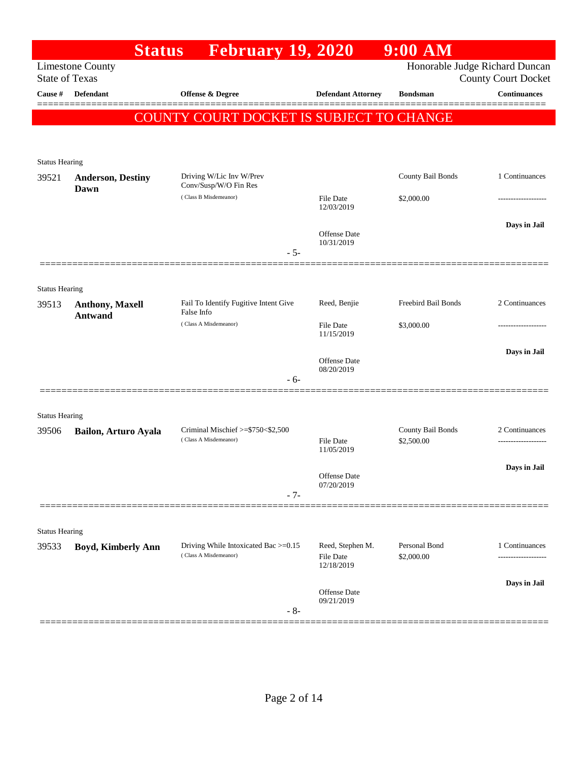|                       | <b>Status</b>                     | <b>February 19, 2020</b>                                         |                                   | $9:00$ AM                       |                                                   |
|-----------------------|-----------------------------------|------------------------------------------------------------------|-----------------------------------|---------------------------------|---------------------------------------------------|
| <b>State of Texas</b> | <b>Limestone County</b>           |                                                                  |                                   |                                 | Honorable Judge Richard Duncan                    |
| <b>Cause</b> #        | <b>Defendant</b>                  | Offense & Degree                                                 | <b>Defendant Attorney</b>         | <b>Bondsman</b>                 | <b>County Court Docket</b><br><b>Continuances</b> |
|                       |                                   |                                                                  |                                   |                                 |                                                   |
|                       |                                   | COUNTY COURT DOCKET IS SUBJECT TO CHANGE                         |                                   |                                 |                                                   |
|                       |                                   |                                                                  |                                   |                                 |                                                   |
| <b>Status Hearing</b> |                                   |                                                                  |                                   |                                 |                                                   |
| 39521                 | <b>Anderson, Destiny</b>          | Driving W/Lic Inv W/Prev<br>Conv/Susp/W/O Fin Res                |                                   | County Bail Bonds               | 1 Continuances                                    |
|                       | Dawn                              | (Class B Misdemeanor)                                            | File Date                         | \$2,000.00                      |                                                   |
|                       |                                   |                                                                  | 12/03/2019                        |                                 |                                                   |
|                       |                                   |                                                                  | Offense Date                      |                                 | Days in Jail                                      |
|                       |                                   | $-5-$                                                            | 10/31/2019                        |                                 |                                                   |
|                       |                                   |                                                                  |                                   |                                 |                                                   |
| <b>Status Hearing</b> |                                   |                                                                  |                                   |                                 |                                                   |
| 39513                 | Anthony, Maxell<br><b>Antwand</b> | Fail To Identify Fugitive Intent Give<br>False Info              | Reed, Benjie                      | Freebird Bail Bonds             | 2 Continuances                                    |
|                       |                                   | (Class A Misdemeanor)                                            | File Date<br>11/15/2019           | \$3,000.00                      |                                                   |
|                       |                                   |                                                                  |                                   |                                 | Days in Jail                                      |
|                       |                                   |                                                                  | Offense Date<br>08/20/2019        |                                 |                                                   |
|                       |                                   | $-6-$                                                            |                                   |                                 |                                                   |
|                       |                                   |                                                                  |                                   |                                 |                                                   |
| <b>Status Hearing</b> |                                   |                                                                  |                                   |                                 |                                                   |
| 39506                 | Bailon, Arturo Ayala              | Criminal Mischief $\ge$ \$750 < \$2,500<br>(Class A Misdemeanor) | File Date                         | County Bail Bonds<br>\$2,500.00 | 2 Continuances                                    |
|                       |                                   |                                                                  | 11/05/2019                        |                                 |                                                   |
|                       |                                   |                                                                  | Offense Date                      |                                 | Days in Jail                                      |
|                       |                                   | $-7-$                                                            | 07/20/2019                        |                                 |                                                   |
|                       |                                   |                                                                  |                                   |                                 |                                                   |
| <b>Status Hearing</b> |                                   |                                                                  |                                   |                                 |                                                   |
| 39533                 | Boyd, Kimberly Ann                | Driving While Intoxicated Bac >=0.15                             | Reed, Stephen M.                  | Personal Bond                   | 1 Continuances                                    |
|                       |                                   | (Class A Misdemeanor)                                            | File Date<br>12/18/2019           | \$2,000.00                      | ------------------                                |
|                       |                                   |                                                                  |                                   |                                 | Days in Jail                                      |
|                       |                                   |                                                                  | <b>Offense</b> Date<br>09/21/2019 |                                 |                                                   |
|                       |                                   | $-8-$                                                            |                                   |                                 |                                                   |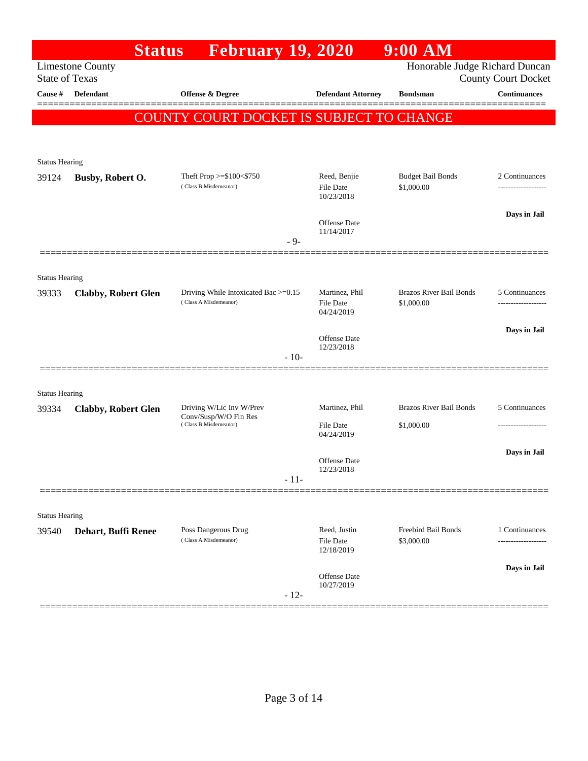|                                |                            | <b>Status</b> | <b>February 19, 2020</b>                                      |        |                                    | $9:00$ AM                                    |                                     |
|--------------------------------|----------------------------|---------------|---------------------------------------------------------------|--------|------------------------------------|----------------------------------------------|-------------------------------------|
| <b>State of Texas</b>          | <b>Limestone County</b>    |               |                                                               |        |                                    | Honorable Judge Richard Duncan               | <b>County Court Docket</b>          |
| Cause #                        | Defendant                  |               | Offense & Degree                                              |        | <b>Defendant Attorney</b>          | <b>Bondsman</b>                              | <b>Continuances</b>                 |
|                                |                            |               | COUNTY COURT DOCKET IS SUBJECT TO CHANGE                      |        |                                    |                                              |                                     |
|                                |                            |               |                                                               |        |                                    |                                              |                                     |
|                                |                            |               |                                                               |        |                                    |                                              |                                     |
| <b>Status Hearing</b><br>39124 | Busby, Robert O.           |               | Theft Prop $>= $100 < $750$                                   |        | Reed, Benjie                       | <b>Budget Bail Bonds</b>                     | 2 Continuances                      |
|                                |                            |               | (Class B Misdemeanor)                                         |        | <b>File Date</b><br>10/23/2018     | \$1,000.00                                   | .                                   |
|                                |                            |               |                                                               |        |                                    |                                              | Days in Jail                        |
|                                |                            |               |                                                               |        | Offense Date<br>11/14/2017         |                                              |                                     |
|                                |                            |               |                                                               | $-9-$  |                                    |                                              |                                     |
|                                |                            |               |                                                               |        |                                    |                                              |                                     |
| <b>Status Hearing</b>          |                            |               |                                                               |        |                                    |                                              |                                     |
| 39333                          | <b>Clabby, Robert Glen</b> |               | Driving While Intoxicated Bac >=0.15<br>(Class A Misdemeanor) |        | Martinez, Phil<br><b>File Date</b> | <b>Brazos River Bail Bonds</b><br>\$1,000.00 | 5 Continuances<br>----------------- |
|                                |                            |               |                                                               |        | 04/24/2019                         |                                              |                                     |
|                                |                            |               |                                                               |        | Offense Date                       |                                              | Days in Jail                        |
|                                |                            |               |                                                               | $-10-$ | 12/23/2018                         |                                              |                                     |
|                                |                            |               |                                                               |        |                                    |                                              |                                     |
| <b>Status Hearing</b>          |                            |               |                                                               |        |                                    |                                              |                                     |
| 39334                          | <b>Clabby, Robert Glen</b> |               | Driving W/Lic Inv W/Prev<br>Conv/Susp/W/O Fin Res             |        | Martinez, Phil                     | <b>Brazos River Bail Bonds</b>               | 5 Continuances                      |
|                                |                            |               | (Class B Misdemeanor)                                         |        | <b>File Date</b><br>04/24/2019     | \$1,000.00                                   |                                     |
|                                |                            |               |                                                               |        |                                    |                                              | Days in Jail                        |
|                                |                            |               |                                                               |        | Offense Date<br>12/23/2018         |                                              |                                     |
|                                |                            |               |                                                               | $-11-$ |                                    |                                              |                                     |
|                                |                            |               |                                                               |        |                                    |                                              |                                     |
| <b>Status Hearing</b>          |                            |               |                                                               |        |                                    |                                              |                                     |
| 39540                          | Dehart, Buffi Renee        |               | Poss Dangerous Drug<br>(Class A Misdemeanor)                  |        | Reed, Justin<br>File Date          | Freebird Bail Bonds<br>\$3,000.00            | 1 Continuances<br>                  |
|                                |                            |               |                                                               |        | 12/18/2019                         |                                              |                                     |
|                                |                            |               |                                                               |        | Offense Date                       |                                              | Days in Jail                        |
|                                |                            |               |                                                               | $-12-$ | 10/27/2019                         |                                              |                                     |
|                                |                            |               |                                                               |        |                                    |                                              |                                     |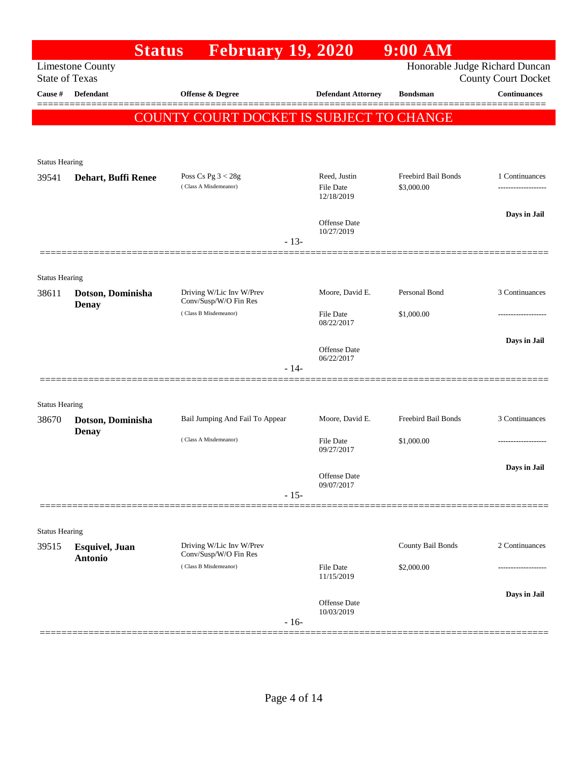|                                |                                   | <b>Status</b> | <b>February 19, 2020</b>                          |        |                                | $9:00$ AM           |                                                              |
|--------------------------------|-----------------------------------|---------------|---------------------------------------------------|--------|--------------------------------|---------------------|--------------------------------------------------------------|
| <b>State of Texas</b>          | <b>Limestone County</b>           |               |                                                   |        |                                |                     | Honorable Judge Richard Duncan<br><b>County Court Docket</b> |
| Cause #                        | <b>Defendant</b>                  |               | <b>Offense &amp; Degree</b>                       |        | <b>Defendant Attorney</b>      | <b>Bondsman</b>     | <b>Continuances</b>                                          |
|                                |                                   |               | COUNTY COURT DOCKET IS SUBJECT TO CHANGE          |        |                                |                     |                                                              |
|                                |                                   |               |                                                   |        |                                |                     |                                                              |
|                                |                                   |               |                                                   |        |                                |                     |                                                              |
| <b>Status Hearing</b><br>39541 | Dehart, Buffi Renee               |               | Poss Cs Pg $3 < 28g$                              |        | Reed, Justin                   | Freebird Bail Bonds | 1 Continuances                                               |
|                                |                                   |               | (Class A Misdemeanor)                             |        | <b>File Date</b>               | \$3,000.00          | ------------------                                           |
|                                |                                   |               |                                                   |        | 12/18/2019                     |                     |                                                              |
|                                |                                   |               |                                                   |        | Offense Date<br>10/27/2019     |                     | Days in Jail                                                 |
|                                |                                   |               |                                                   | $-13-$ |                                |                     |                                                              |
|                                |                                   |               |                                                   |        |                                |                     |                                                              |
| <b>Status Hearing</b>          |                                   |               |                                                   |        |                                |                     |                                                              |
| 38611                          | Dotson, Dominisha<br><b>Denay</b> |               | Driving W/Lic Inv W/Prev<br>Conv/Susp/W/O Fin Res |        | Moore, David E.                | Personal Bond       | 3 Continuances                                               |
|                                |                                   |               | (Class B Misdemeanor)                             |        | File Date<br>08/22/2017        | \$1,000.00          |                                                              |
|                                |                                   |               |                                                   |        |                                |                     | Days in Jail                                                 |
|                                |                                   |               |                                                   |        | Offense Date<br>06/22/2017     |                     |                                                              |
|                                |                                   |               |                                                   | $-14-$ |                                |                     |                                                              |
|                                |                                   |               |                                                   |        |                                |                     |                                                              |
| <b>Status Hearing</b>          |                                   |               |                                                   |        |                                |                     |                                                              |
| 38670                          | Dotson, Dominisha<br><b>Denay</b> |               | Bail Jumping And Fail To Appear                   |        | Moore, David E.                | Freebird Bail Bonds | 3 Continuances                                               |
|                                |                                   |               | (Class A Misdemeanor)                             |        | File Date<br>09/27/2017        | \$1,000.00          |                                                              |
|                                |                                   |               |                                                   |        |                                |                     | Days in Jail                                                 |
|                                |                                   |               |                                                   |        | Offense Date<br>09/07/2017     |                     |                                                              |
|                                |                                   |               |                                                   | $-15-$ |                                |                     |                                                              |
|                                |                                   |               |                                                   |        |                                |                     |                                                              |
| <b>Status Hearing</b><br>39515 | <b>Esquivel</b> , Juan            |               | Driving W/Lic Inv W/Prev                          |        |                                | County Bail Bonds   | 2 Continuances                                               |
|                                | <b>Antonio</b>                    |               | Conv/Susp/W/O Fin Res                             |        |                                |                     |                                                              |
|                                |                                   |               | (Class B Misdemeanor)                             |        | <b>File Date</b><br>11/15/2019 | \$2,000.00          |                                                              |
|                                |                                   |               |                                                   |        |                                |                     | Days in Jail                                                 |
|                                |                                   |               |                                                   |        | Offense Date<br>10/03/2019     |                     |                                                              |
|                                |                                   |               |                                                   | $-16-$ |                                |                     |                                                              |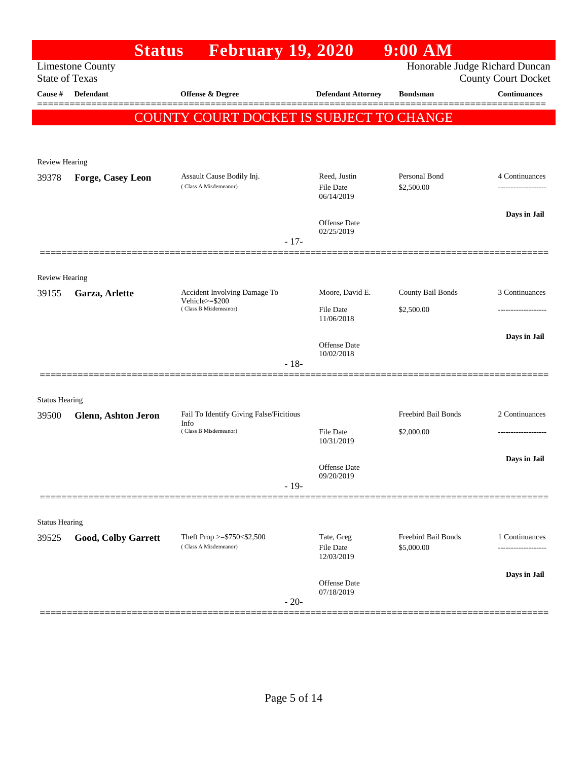|                       | <b>Status</b>              | February 19, 2020                               |        |                                | $9:00$ AM                  |                                                              |
|-----------------------|----------------------------|-------------------------------------------------|--------|--------------------------------|----------------------------|--------------------------------------------------------------|
| <b>State of Texas</b> | <b>Limestone County</b>    |                                                 |        |                                |                            | Honorable Judge Richard Duncan<br><b>County Court Docket</b> |
| <b>Cause #</b>        | Defendant                  | <b>Offense &amp; Degree</b>                     |        | <b>Defendant Attorney</b>      | <b>Bondsman</b>            | <b>Continuances</b>                                          |
|                       |                            | COUNTY COURT DOCKET IS SUBJECT TO CHANGE        |        |                                |                            |                                                              |
|                       |                            |                                                 |        |                                |                            |                                                              |
| <b>Review Hearing</b> |                            |                                                 |        |                                |                            |                                                              |
| 39378                 | Forge, Casey Leon          | Assault Cause Bodily Inj.                       |        | Reed, Justin                   | Personal Bond              | 4 Continuances                                               |
|                       |                            | (Class A Misdemeanor)                           |        | <b>File Date</b><br>06/14/2019 | \$2,500.00                 |                                                              |
|                       |                            |                                                 |        | Offense Date                   |                            | Days in Jail                                                 |
|                       |                            |                                                 | $-17-$ | 02/25/2019                     |                            |                                                              |
|                       |                            |                                                 |        |                                |                            |                                                              |
| <b>Review Hearing</b> |                            |                                                 |        |                                |                            |                                                              |
| 39155                 | Garza, Arlette             | Accident Involving Damage To<br>Vehicle>=\$200  |        | Moore, David E.                | County Bail Bonds          | 3 Continuances                                               |
|                       |                            | (Class B Misdemeanor)                           |        | <b>File Date</b><br>11/06/2018 | \$2,500.00                 | .                                                            |
|                       |                            |                                                 |        | Offense Date                   |                            | Days in Jail                                                 |
|                       |                            |                                                 | $-18-$ | 10/02/2018                     |                            |                                                              |
|                       |                            |                                                 |        |                                |                            |                                                              |
| <b>Status Hearing</b> |                            |                                                 |        |                                |                            |                                                              |
| 39500                 | <b>Glenn, Ashton Jeron</b> | Fail To Identify Giving False/Ficitious<br>Info |        |                                | Freebird Bail Bonds        | 2 Continuances                                               |
|                       |                            | (Class B Misdemeanor)                           |        | <b>File Date</b><br>10/31/2019 | \$2,000.00                 | -----------------                                            |
|                       |                            |                                                 |        |                                |                            | Days in Jail                                                 |
|                       |                            |                                                 |        | Offense Date<br>09/20/2019     |                            |                                                              |
|                       |                            |                                                 | $-19-$ |                                |                            |                                                              |
| <b>Status Hearing</b> |                            |                                                 |        |                                |                            |                                                              |
| 39525                 | Good, Colby Garrett        | Theft Prop >=\$750<\$2,500                      |        | Tate, Greg                     | <b>Freebird Bail Bonds</b> | 1 Continuances                                               |
|                       |                            | (Class A Misdemeanor)                           |        | File Date<br>12/03/2019        | \$5,000.00                 | ----------------                                             |
|                       |                            |                                                 |        | Offense Date                   |                            | Days in Jail                                                 |
|                       |                            |                                                 | $-20-$ | 07/18/2019                     |                            |                                                              |
|                       |                            |                                                 |        |                                |                            |                                                              |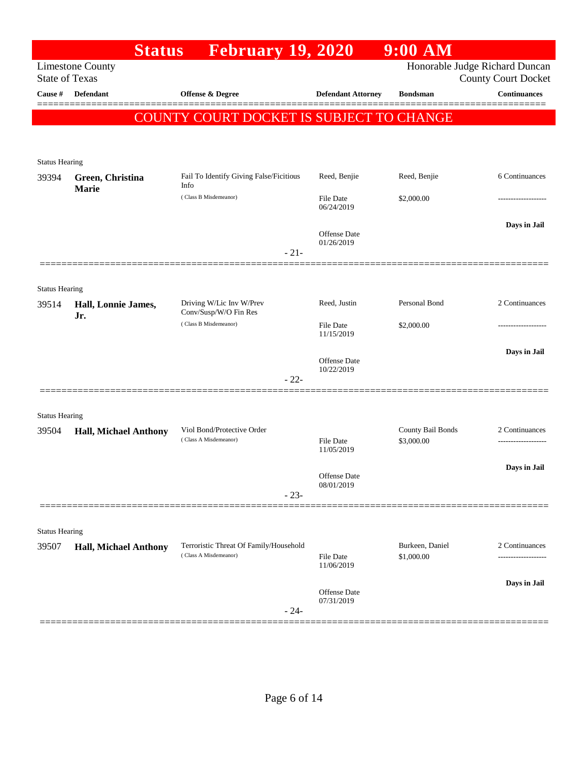|                                | <b>Status</b>                | <b>February 19, 2020</b>                                        |                                   | $9:00$ AM                       |                                                              |
|--------------------------------|------------------------------|-----------------------------------------------------------------|-----------------------------------|---------------------------------|--------------------------------------------------------------|
| <b>State of Texas</b>          | <b>Limestone County</b>      |                                                                 |                                   |                                 | Honorable Judge Richard Duncan<br><b>County Court Docket</b> |
| Cause #                        | <b>Defendant</b>             | Offense & Degree                                                | <b>Defendant Attorney</b>         | <b>Bondsman</b>                 | <b>Continuances</b>                                          |
|                                |                              | COUNTY COURT DOCKET IS SUBJECT TO CHANGE                        |                                   |                                 |                                                              |
|                                |                              |                                                                 |                                   |                                 |                                                              |
| <b>Status Hearing</b><br>39394 | Green, Christina             | Fail To Identify Giving False/Ficitious                         | Reed, Benjie                      | Reed, Benjie                    | 6 Continuances                                               |
|                                | Marie                        | Info<br>(Class B Misdemeanor)                                   | File Date<br>06/24/2019           | \$2,000.00                      | -----------------                                            |
|                                |                              | $-21-$                                                          | <b>Offense</b> Date<br>01/26/2019 |                                 | Days in Jail                                                 |
|                                |                              |                                                                 |                                   |                                 |                                                              |
| <b>Status Hearing</b>          |                              |                                                                 |                                   |                                 |                                                              |
| 39514                          | Hall, Lonnie James,          | Driving W/Lic Inv W/Prev<br>Conv/Susp/W/O Fin Res               | Reed, Justin                      | Personal Bond                   | 2 Continuances                                               |
|                                | Jr.                          | (Class B Misdemeanor)                                           | File Date<br>11/15/2019           | \$2,000.00                      | -----------------                                            |
|                                |                              | $-22-$                                                          | <b>Offense</b> Date<br>10/22/2019 |                                 | Days in Jail                                                 |
|                                |                              |                                                                 |                                   |                                 |                                                              |
| <b>Status Hearing</b>          |                              |                                                                 |                                   |                                 |                                                              |
| 39504                          | <b>Hall, Michael Anthony</b> | Viol Bond/Protective Order<br>(Class A Misdemeanor)             | File Date<br>11/05/2019           | County Bail Bonds<br>\$3,000.00 | 2 Continuances                                               |
|                                |                              |                                                                 | Offense Date<br>08/01/2019        |                                 | Days in Jail                                                 |
|                                |                              | $-23-$                                                          |                                   |                                 |                                                              |
| <b>Status Hearing</b>          |                              |                                                                 |                                   |                                 |                                                              |
| 39507                          | <b>Hall, Michael Anthony</b> | Terroristic Threat Of Family/Household<br>(Class A Misdemeanor) | File Date<br>11/06/2019           | Burkeen, Daniel<br>\$1,000.00   | 2 Continuances                                               |
|                                |                              |                                                                 |                                   |                                 | Days in Jail                                                 |
|                                |                              | $-24-$                                                          | Offense Date<br>07/31/2019        |                                 |                                                              |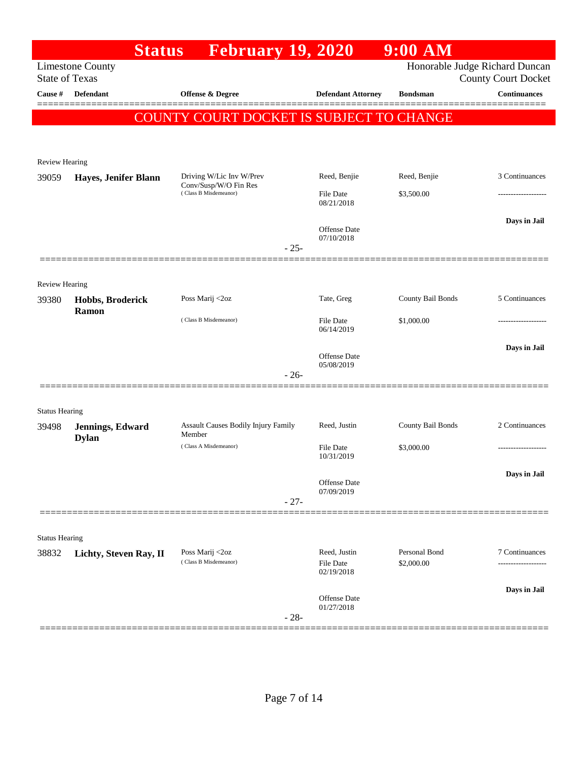|                                | <b>Limestone County</b>          | <b>February 19, 2020</b>                             |        |                                |                   |                                                              |
|--------------------------------|----------------------------------|------------------------------------------------------|--------|--------------------------------|-------------------|--------------------------------------------------------------|
| <b>State of Texas</b>          |                                  |                                                      |        |                                |                   | Honorable Judge Richard Duncan<br><b>County Court Docket</b> |
| Cause #                        | Defendant                        | <b>Offense &amp; Degree</b>                          |        | <b>Defendant Attorney</b>      | <b>Bondsman</b>   | <b>Continuances</b>                                          |
|                                |                                  | COUNTY COURT DOCKET IS SUBJECT TO CHANGE             |        |                                |                   |                                                              |
|                                |                                  |                                                      |        |                                |                   |                                                              |
| <b>Review Hearing</b>          |                                  |                                                      |        |                                |                   |                                                              |
| 39059                          | Hayes, Jenifer Blann             | Driving W/Lic Inv W/Prev                             |        | Reed, Benjie                   | Reed, Benjie      | 3 Continuances                                               |
|                                |                                  | Conv/Susp/W/O Fin Res<br>(Class B Misdemeanor)       |        | <b>File Date</b>               | \$3,500.00        |                                                              |
|                                |                                  |                                                      |        | 08/21/2018                     |                   |                                                              |
|                                |                                  |                                                      |        | <b>Offense Date</b>            |                   | Days in Jail                                                 |
|                                |                                  |                                                      | $-25-$ | 07/10/2018                     |                   |                                                              |
|                                |                                  |                                                      |        |                                |                   |                                                              |
| Review Hearing                 |                                  |                                                      |        |                                |                   |                                                              |
| 39380                          | Hobbs, Broderick<br>Ramon        | Poss Marij <2oz                                      |        | Tate, Greg                     | County Bail Bonds | 5 Continuances                                               |
|                                |                                  | (Class B Misdemeanor)                                |        | <b>File Date</b><br>06/14/2019 | \$1,000.00        |                                                              |
|                                |                                  |                                                      |        |                                |                   | Days in Jail                                                 |
|                                |                                  |                                                      |        | Offense Date<br>05/08/2019     |                   |                                                              |
|                                |                                  |                                                      | $-26-$ |                                |                   |                                                              |
|                                |                                  |                                                      |        |                                |                   |                                                              |
| <b>Status Hearing</b>          |                                  |                                                      |        |                                |                   |                                                              |
| 39498                          | Jennings, Edward<br><b>Dylan</b> | <b>Assault Causes Bodily Injury Family</b><br>Member |        | Reed, Justin                   | County Bail Bonds | 2 Continuances                                               |
|                                |                                  | (Class A Misdemeanor)                                |        | <b>File Date</b><br>10/31/2019 | \$3,000.00        | ------------------                                           |
|                                |                                  |                                                      |        |                                |                   | Days in Jail                                                 |
|                                |                                  |                                                      |        | Offense Date<br>07/09/2019     |                   |                                                              |
|                                |                                  |                                                      | $-27-$ |                                |                   |                                                              |
|                                |                                  |                                                      |        |                                |                   |                                                              |
| <b>Status Hearing</b><br>38832 | Lichty, Steven Ray, II           | Poss Marij <2oz                                      |        | Reed, Justin                   | Personal Bond     | 7 Continuances                                               |
|                                |                                  | (Class B Misdemeanor)                                |        | File Date<br>02/19/2018        | \$2,000.00        |                                                              |
|                                |                                  |                                                      |        |                                |                   | Days in Jail                                                 |
|                                |                                  |                                                      |        | Offense Date<br>01/27/2018     |                   |                                                              |
|                                |                                  |                                                      | $-28-$ |                                |                   |                                                              |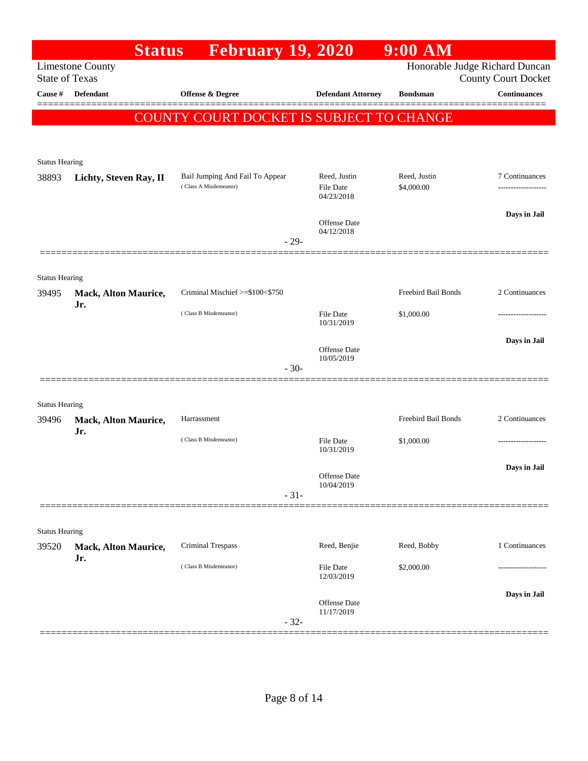|                                | <b>Status</b>                      | <b>February 19, 2020</b>                 |        |                                   | $9:00$ AM                      |                               |
|--------------------------------|------------------------------------|------------------------------------------|--------|-----------------------------------|--------------------------------|-------------------------------|
| <b>State of Texas</b>          | <b>Limestone County</b>            |                                          |        |                                   | Honorable Judge Richard Duncan | <b>County Court Docket</b>    |
| <b>Cause #</b>                 | <b>Defendant</b>                   | <b>Offense &amp; Degree</b>              |        | <b>Defendant Attorney</b>         | <b>Bondsman</b>                | <b>Continuances</b><br>====== |
|                                |                                    | COUNTY COURT DOCKET IS SUBJECT TO CHANGE |        |                                   |                                |                               |
|                                |                                    |                                          |        |                                   |                                |                               |
|                                |                                    |                                          |        |                                   |                                |                               |
| <b>Status Hearing</b><br>38893 |                                    | Bail Jumping And Fail To Appear          |        | Reed, Justin                      | Reed, Justin                   | 7 Continuances                |
|                                | Lichty, Steven Ray, II             | (Class A Misdemeanor)                    |        | <b>File Date</b>                  | \$4,000.00                     |                               |
|                                |                                    |                                          |        | 04/23/2018                        |                                |                               |
|                                |                                    |                                          |        | Offense Date<br>04/12/2018        |                                | Days in Jail                  |
|                                |                                    |                                          | $-29-$ |                                   |                                |                               |
|                                |                                    |                                          |        |                                   |                                |                               |
| <b>Status Hearing</b>          |                                    |                                          |        |                                   |                                |                               |
| 39495                          | <b>Mack, Alton Maurice,</b><br>Jr. | Criminal Mischief >=\$100<\$750          |        |                                   | Freebird Bail Bonds            | 2 Continuances                |
|                                |                                    | (Class B Misdemeanor)                    |        | <b>File Date</b><br>10/31/2019    | \$1,000.00                     | ---------------               |
|                                |                                    |                                          |        |                                   |                                | Days in Jail                  |
|                                |                                    |                                          |        | Offense Date<br>10/05/2019        |                                |                               |
|                                |                                    |                                          | $-30-$ |                                   |                                |                               |
|                                |                                    |                                          |        |                                   |                                |                               |
| <b>Status Hearing</b>          |                                    |                                          |        |                                   |                                |                               |
| 39496                          | <b>Mack, Alton Maurice,</b><br>Jr. | Harrassment                              |        |                                   | Freebird Bail Bonds            | 2 Continuances                |
|                                |                                    | (Class B Misdemeanor)                    |        | <b>File Date</b><br>10/31/2019    | \$1,000.00                     | -----------------             |
|                                |                                    |                                          |        |                                   |                                | Days in Jail                  |
|                                |                                    |                                          |        | Offense Date<br>10/04/2019        |                                |                               |
|                                |                                    |                                          | $-31-$ |                                   |                                |                               |
|                                |                                    |                                          |        |                                   |                                |                               |
| <b>Status Hearing</b>          |                                    |                                          |        |                                   |                                |                               |
| 39520                          | Mack, Alton Maurice,<br>Jr.        | Criminal Trespass                        |        | Reed, Benjie                      | Reed, Bobby                    | 1 Continuances                |
|                                |                                    | (Class B Misdemeanor)                    |        | File Date<br>12/03/2019           | \$2,000.00                     |                               |
|                                |                                    |                                          |        |                                   |                                | Days in Jail                  |
|                                |                                    |                                          |        | <b>Offense Date</b><br>11/17/2019 |                                |                               |
|                                |                                    |                                          | $-32-$ |                                   |                                |                               |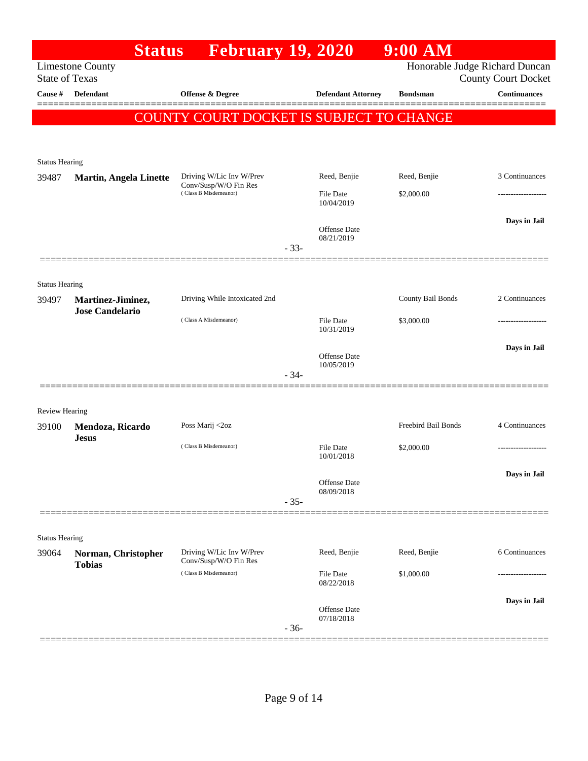|                                  | <b>Status</b>                    | <b>February 19, 2020</b>                       |        |                                | $9:00$ AM           |                                                   |
|----------------------------------|----------------------------------|------------------------------------------------|--------|--------------------------------|---------------------|---------------------------------------------------|
|                                  | <b>Limestone County</b>          |                                                |        |                                |                     | Honorable Judge Richard Duncan                    |
| <b>State of Texas</b><br>Cause # | <b>Defendant</b>                 | Offense & Degree                               |        | <b>Defendant Attorney</b>      | <b>Bondsman</b>     | <b>County Court Docket</b><br><b>Continuances</b> |
|                                  |                                  |                                                |        |                                |                     |                                                   |
|                                  |                                  | COUNTY COURT DOCKET IS SUBJECT TO CHANGE       |        |                                |                     |                                                   |
|                                  |                                  |                                                |        |                                |                     |                                                   |
| <b>Status Hearing</b>            |                                  |                                                |        |                                |                     |                                                   |
| 39487                            | <b>Martin, Angela Linette</b>    | Driving W/Lic Inv W/Prev                       |        | Reed, Benjie                   | Reed, Benjie        | 3 Continuances                                    |
|                                  |                                  | Conv/Susp/W/O Fin Res<br>(Class B Misdemeanor) |        | <b>File Date</b>               | \$2,000.00          | .                                                 |
|                                  |                                  |                                                |        | 10/04/2019                     |                     |                                                   |
|                                  |                                  |                                                |        | <b>Offense Date</b>            |                     | Days in Jail                                      |
|                                  |                                  |                                                | $-33-$ | 08/21/2019                     |                     |                                                   |
|                                  |                                  |                                                |        |                                |                     |                                                   |
|                                  |                                  |                                                |        |                                |                     |                                                   |
| <b>Status Hearing</b><br>39497   | Martinez-Jiminez,                | Driving While Intoxicated 2nd                  |        |                                | County Bail Bonds   | 2 Continuances                                    |
|                                  | <b>Jose Candelario</b>           |                                                |        |                                |                     |                                                   |
|                                  |                                  | (Class A Misdemeanor)                          |        | <b>File Date</b><br>10/31/2019 | \$3,000.00          | ---------------                                   |
|                                  |                                  |                                                |        |                                |                     | Days in Jail                                      |
|                                  |                                  |                                                |        | Offense Date<br>10/05/2019     |                     |                                                   |
|                                  |                                  |                                                | $-34-$ |                                |                     |                                                   |
|                                  |                                  |                                                |        |                                |                     |                                                   |
| Review Hearing                   |                                  |                                                |        |                                |                     |                                                   |
| 39100                            | Mendoza, Ricardo<br><b>Jesus</b> | Poss Marij <2oz                                |        |                                | Freebird Bail Bonds | 4 Continuances                                    |
|                                  |                                  | (Class B Misdemeanor)                          |        | File Date                      | \$2,000.00          |                                                   |
|                                  |                                  |                                                |        | 10/01/2018                     |                     |                                                   |
|                                  |                                  |                                                |        | Offense Date                   |                     | Days in Jail                                      |
|                                  |                                  |                                                | $-35-$ | 08/09/2018                     |                     |                                                   |
|                                  |                                  |                                                |        |                                |                     |                                                   |
| <b>Status Hearing</b>            |                                  |                                                |        |                                |                     |                                                   |
| 39064                            | Norman, Christopher              | Driving W/Lic Inv W/Prev                       |        | Reed, Benjie                   | Reed, Benjie        | 6 Continuances                                    |
|                                  | <b>Tobias</b>                    | Conv/Susp/W/O Fin Res<br>(Class B Misdemeanor) |        | File Date                      | \$1,000.00          |                                                   |
|                                  |                                  |                                                |        | 08/22/2018                     |                     |                                                   |
|                                  |                                  |                                                |        |                                |                     | Days in Jail                                      |
|                                  |                                  |                                                |        | Offense Date<br>07/18/2018     |                     |                                                   |
|                                  |                                  |                                                | $-36-$ |                                |                     |                                                   |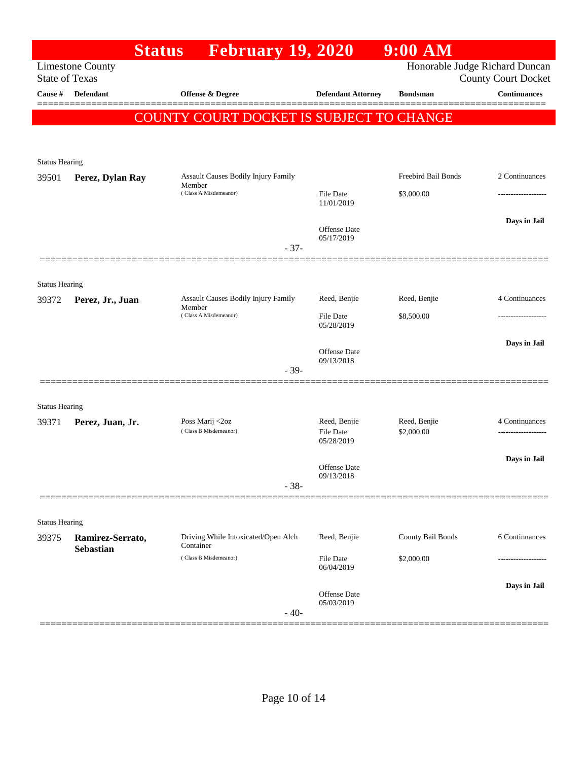|                                |                                      | <b>Status</b> | <b>February 19, 2020</b>                   |        |                                  | $9:00$ AM                  |                                                              |
|--------------------------------|--------------------------------------|---------------|--------------------------------------------|--------|----------------------------------|----------------------------|--------------------------------------------------------------|
| <b>State of Texas</b>          | <b>Limestone County</b>              |               |                                            |        |                                  |                            | Honorable Judge Richard Duncan<br><b>County Court Docket</b> |
| Cause #                        | Defendant                            |               | <b>Offense &amp; Degree</b>                |        | <b>Defendant Attorney</b>        | <b>Bondsman</b>            | <b>Continuances</b>                                          |
|                                |                                      |               | COUNTY COURT DOCKET IS SUBJECT TO CHANGE   |        |                                  |                            |                                                              |
| <b>Status Hearing</b>          |                                      |               |                                            |        |                                  |                            |                                                              |
| 39501                          | Perez, Dylan Ray                     | Member        | Assault Causes Bodily Injury Family        |        |                                  | Freebird Bail Bonds        | 2 Continuances                                               |
|                                |                                      |               | (Class A Misdemeanor)                      |        | <b>File Date</b><br>11/01/2019   | \$3,000.00                 |                                                              |
|                                |                                      |               |                                            | $-37-$ | Offense Date<br>05/17/2019       |                            | Days in Jail                                                 |
|                                |                                      |               |                                            |        |                                  |                            |                                                              |
| <b>Status Hearing</b>          |                                      |               | <b>Assault Causes Bodily Injury Family</b> |        | Reed, Benjie                     | Reed, Benjie               | 4 Continuances                                               |
| 39372                          | Perez, Jr., Juan                     | Member        | (Class A Misdemeanor)                      |        | <b>File Date</b>                 | \$8,500.00                 |                                                              |
|                                |                                      |               |                                            |        | 05/28/2019                       |                            |                                                              |
|                                |                                      |               |                                            |        | Offense Date<br>09/13/2018       |                            | Days in Jail                                                 |
|                                |                                      |               |                                            | $-39-$ |                                  |                            |                                                              |
| <b>Status Hearing</b>          |                                      |               |                                            |        |                                  |                            |                                                              |
| 39371                          | Perez, Juan, Jr.                     |               | Poss Marij <2oz<br>(Class B Misdemeanor)   |        | Reed, Benjie<br><b>File Date</b> | Reed, Benjie<br>\$2,000.00 | 4 Continuances<br>                                           |
|                                |                                      |               |                                            |        | 05/28/2019                       |                            |                                                              |
|                                |                                      |               |                                            |        | Offense Date                     |                            | Days in Jail                                                 |
|                                |                                      |               |                                            | $-38-$ | 09/13/2018                       |                            |                                                              |
|                                |                                      |               |                                            |        |                                  |                            |                                                              |
| <b>Status Hearing</b><br>39375 |                                      |               | Driving While Intoxicated/Open Alch        |        | Reed, Benjie                     | County Bail Bonds          | 6 Continuances                                               |
|                                | Ramirez-Serrato,<br><b>Sebastian</b> | Container     | (Class B Misdemeanor)                      |        | <b>File Date</b>                 | \$2,000.00                 |                                                              |
|                                |                                      |               |                                            |        | 06/04/2019                       |                            |                                                              |
|                                |                                      |               |                                            | $-40-$ | Offense Date<br>05/03/2019       |                            | Days in Jail                                                 |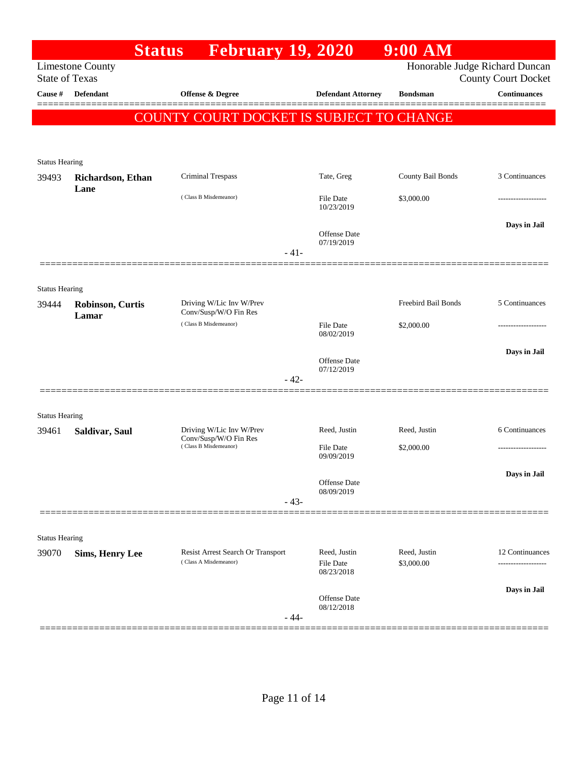|                       |                                  | <b>Status</b> February 19, 2020                            |        |                                         | $9:00$ AM                  |                                                              |
|-----------------------|----------------------------------|------------------------------------------------------------|--------|-----------------------------------------|----------------------------|--------------------------------------------------------------|
| <b>State of Texas</b> | <b>Limestone County</b>          |                                                            |        |                                         |                            | Honorable Judge Richard Duncan<br><b>County Court Docket</b> |
| Cause #               | <b>Defendant</b>                 | <b>Offense &amp; Degree</b>                                |        | <b>Defendant Attorney</b>               | <b>Bondsman</b>            | <b>Continuances</b>                                          |
|                       |                                  | COUNTY COURT DOCKET IS SUBJECT TO CHANGE                   |        |                                         |                            |                                                              |
|                       |                                  |                                                            |        |                                         |                            |                                                              |
| <b>Status Hearing</b> |                                  |                                                            |        |                                         |                            |                                                              |
| 39493                 | Richardson, Ethan<br>Lane        | Criminal Trespass                                          |        | Tate, Greg                              | County Bail Bonds          | 3 Continuances                                               |
|                       |                                  | (Class B Misdemeanor)                                      |        | File Date<br>10/23/2019                 | \$3,000.00                 |                                                              |
|                       |                                  |                                                            |        | <b>Offense Date</b><br>07/19/2019       |                            | Days in Jail                                                 |
|                       |                                  |                                                            | $-41-$ |                                         |                            |                                                              |
| <b>Status Hearing</b> |                                  |                                                            |        |                                         |                            |                                                              |
| 39444                 | <b>Robinson, Curtis</b><br>Lamar | Driving W/Lic Inv W/Prev<br>Conv/Susp/W/O Fin Res          |        |                                         | <b>Freebird Bail Bonds</b> | 5 Continuances                                               |
|                       |                                  | (Class B Misdemeanor)                                      |        | File Date<br>08/02/2019                 | \$2,000.00                 |                                                              |
|                       |                                  |                                                            |        | <b>Offense Date</b>                     |                            | Days in Jail                                                 |
|                       |                                  |                                                            | $-42-$ | 07/12/2019                              |                            |                                                              |
| <b>Status Hearing</b> |                                  |                                                            |        |                                         |                            |                                                              |
| 39461                 | Saldivar, Saul                   | Driving W/Lic Inv W/Prev<br>Conv/Susp/W/O Fin Res          |        | Reed, Justin                            | Reed, Justin               | 6 Continuances                                               |
|                       |                                  | (Class B Misdemeanor)                                      |        | <b>File Date</b><br>09/09/2019          | \$2,000.00                 |                                                              |
|                       |                                  |                                                            |        | Offense Date                            |                            | Days in Jail                                                 |
|                       |                                  |                                                            | $-43-$ | 08/09/2019                              |                            |                                                              |
|                       |                                  |                                                            |        |                                         |                            |                                                              |
| <b>Status Hearing</b> |                                  |                                                            |        |                                         |                            |                                                              |
| 39070                 | <b>Sims, Henry Lee</b>           | Resist Arrest Search Or Transport<br>(Class A Misdemeanor) |        | Reed, Justin<br>File Date<br>08/23/2018 | Reed, Justin<br>\$3,000.00 | 12 Continuances                                              |
|                       |                                  |                                                            | $-44-$ | Offense Date<br>08/12/2018              |                            | Days in Jail                                                 |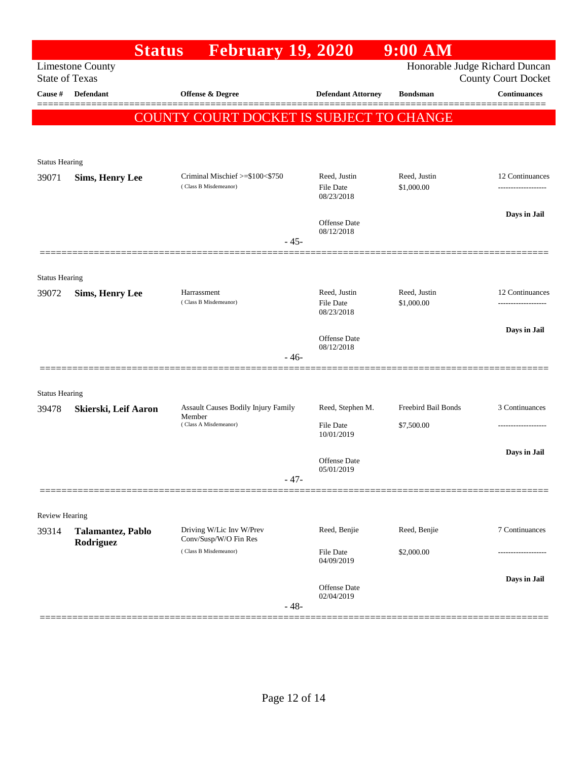| <b>Limestone County</b><br><b>State of Texas</b><br>Defendant<br>Cause #<br>Offense & Degree<br><b>Defendant Attorney</b><br><b>Bondsman</b><br>COUNTY COURT DOCKET IS SUBJECT TO CHANGE<br><b>Status Hearing</b><br>Criminal Mischief >=\$100<\$750<br>Reed, Justin<br>Reed, Justin<br>39071<br><b>Sims, Henry Lee</b><br>(Class B Misdemeanor)<br>File Date<br>\$1,000.00<br>08/23/2018<br>Offense Date | Honorable Judge Richard Duncan<br><b>County Court Docket</b><br><b>Continuances</b><br>12 Continuances<br>----------------- |
|-----------------------------------------------------------------------------------------------------------------------------------------------------------------------------------------------------------------------------------------------------------------------------------------------------------------------------------------------------------------------------------------------------------|-----------------------------------------------------------------------------------------------------------------------------|
|                                                                                                                                                                                                                                                                                                                                                                                                           |                                                                                                                             |
|                                                                                                                                                                                                                                                                                                                                                                                                           |                                                                                                                             |
|                                                                                                                                                                                                                                                                                                                                                                                                           |                                                                                                                             |
|                                                                                                                                                                                                                                                                                                                                                                                                           |                                                                                                                             |
|                                                                                                                                                                                                                                                                                                                                                                                                           |                                                                                                                             |
|                                                                                                                                                                                                                                                                                                                                                                                                           |                                                                                                                             |
|                                                                                                                                                                                                                                                                                                                                                                                                           |                                                                                                                             |
|                                                                                                                                                                                                                                                                                                                                                                                                           | Days in Jail                                                                                                                |
| 08/12/2018<br>$-45-$                                                                                                                                                                                                                                                                                                                                                                                      |                                                                                                                             |
|                                                                                                                                                                                                                                                                                                                                                                                                           |                                                                                                                             |
| <b>Status Hearing</b>                                                                                                                                                                                                                                                                                                                                                                                     |                                                                                                                             |
| Reed, Justin<br>Reed, Justin<br>Harrassment<br>39072<br><b>Sims, Henry Lee</b><br>(Class B Misdemeanor)<br>File Date<br>\$1,000.00                                                                                                                                                                                                                                                                        | 12 Continuances                                                                                                             |
| 08/23/2018                                                                                                                                                                                                                                                                                                                                                                                                |                                                                                                                             |
| Offense Date<br>08/12/2018                                                                                                                                                                                                                                                                                                                                                                                | Days in Jail                                                                                                                |
| - 46-                                                                                                                                                                                                                                                                                                                                                                                                     |                                                                                                                             |
|                                                                                                                                                                                                                                                                                                                                                                                                           |                                                                                                                             |
| <b>Status Hearing</b><br>Freebird Bail Bonds<br>Assault Causes Bodily Injury Family<br>Reed, Stephen M.<br>39478<br>Skierski, Leif Aaron                                                                                                                                                                                                                                                                  | 3 Continuances                                                                                                              |
| Member<br>(Class A Misdemeanor)<br><b>File Date</b><br>\$7,500.00                                                                                                                                                                                                                                                                                                                                         |                                                                                                                             |
| 10/01/2019                                                                                                                                                                                                                                                                                                                                                                                                | Days in Jail                                                                                                                |
| Offense Date<br>05/01/2019                                                                                                                                                                                                                                                                                                                                                                                |                                                                                                                             |
| $-47-$                                                                                                                                                                                                                                                                                                                                                                                                    |                                                                                                                             |
|                                                                                                                                                                                                                                                                                                                                                                                                           |                                                                                                                             |
| <b>Review Hearing</b><br>Driving W/Lic Inv W/Prev<br>Reed, Benjie<br>Reed, Benjie<br>39314<br>Talamantez, Pablo                                                                                                                                                                                                                                                                                           | 7 Continuances                                                                                                              |
| Conv/Susp/W/O Fin Res<br>Rodriguez<br>(Class B Misdemeanor)<br>File Date<br>\$2,000.00                                                                                                                                                                                                                                                                                                                    |                                                                                                                             |
| 04/09/2019                                                                                                                                                                                                                                                                                                                                                                                                |                                                                                                                             |
| Offense Date<br>02/04/2019                                                                                                                                                                                                                                                                                                                                                                                | Days in Jail                                                                                                                |
| $-48-$                                                                                                                                                                                                                                                                                                                                                                                                    |                                                                                                                             |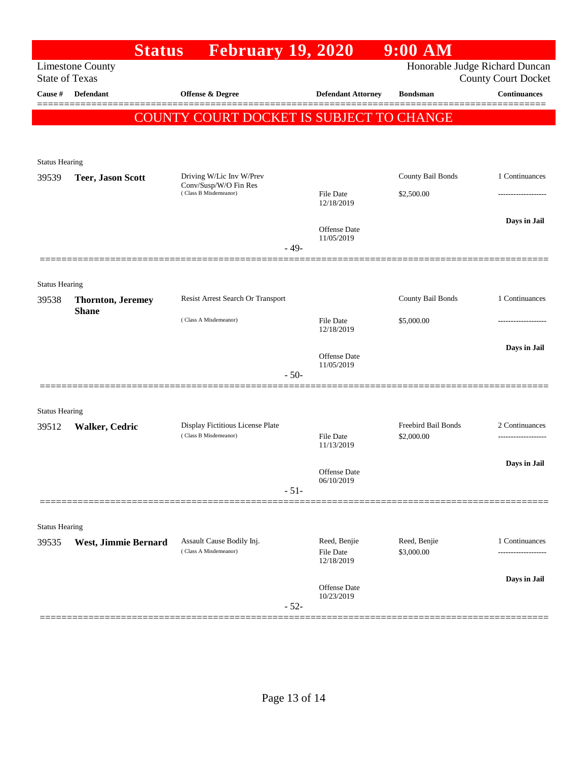|                                                                                                                  | <b>Status</b>                            | <b>February 19, 2020</b>                                                   |                                |                                         | $9:00$ AM                         |                                |  |  |
|------------------------------------------------------------------------------------------------------------------|------------------------------------------|----------------------------------------------------------------------------|--------------------------------|-----------------------------------------|-----------------------------------|--------------------------------|--|--|
| Honorable Judge Richard Duncan<br><b>Limestone County</b><br><b>State of Texas</b><br><b>County Court Docket</b> |                                          |                                                                            |                                |                                         |                                   |                                |  |  |
| Cause #                                                                                                          | <b>Defendant</b>                         | Offense & Degree                                                           |                                | <b>Defendant Attorney</b>               | <b>Bondsman</b>                   | <b>Continuances</b>            |  |  |
|                                                                                                                  |                                          | COUNTY COURT DOCKET IS SUBJECT TO CHANGE                                   |                                |                                         |                                   |                                |  |  |
|                                                                                                                  |                                          |                                                                            |                                |                                         |                                   |                                |  |  |
| <b>Status Hearing</b>                                                                                            |                                          |                                                                            |                                |                                         |                                   |                                |  |  |
| 39539                                                                                                            | <b>Teer, Jason Scott</b>                 | Driving W/Lic Inv W/Prev<br>Conv/Susp/W/O Fin Res<br>(Class B Misdemeanor) |                                |                                         | County Bail Bonds                 | 1 Continuances                 |  |  |
|                                                                                                                  |                                          |                                                                            | <b>File Date</b><br>12/18/2019 |                                         | \$2,500.00                        |                                |  |  |
|                                                                                                                  |                                          |                                                                            |                                | <b>Offense</b> Date                     |                                   | Days in Jail                   |  |  |
|                                                                                                                  |                                          |                                                                            | $-49-$                         | 11/05/2019                              |                                   |                                |  |  |
|                                                                                                                  |                                          |                                                                            |                                |                                         |                                   |                                |  |  |
| <b>Status Hearing</b>                                                                                            |                                          |                                                                            |                                |                                         |                                   |                                |  |  |
| 39538                                                                                                            | <b>Thornton, Jeremey</b><br><b>Shane</b> | Resist Arrest Search Or Transport                                          |                                |                                         | County Bail Bonds                 | 1 Continuances                 |  |  |
|                                                                                                                  |                                          | (Class A Misdemeanor)                                                      |                                | <b>File Date</b><br>12/18/2019          | \$5,000.00                        |                                |  |  |
|                                                                                                                  |                                          |                                                                            |                                | <b>Offense Date</b>                     |                                   | Days in Jail                   |  |  |
|                                                                                                                  |                                          |                                                                            | $-50-$                         | 11/05/2019                              |                                   |                                |  |  |
|                                                                                                                  |                                          |                                                                            |                                |                                         |                                   |                                |  |  |
| <b>Status Hearing</b>                                                                                            |                                          |                                                                            |                                |                                         |                                   |                                |  |  |
| 39512                                                                                                            | Walker, Cedric                           | Display Fictitious License Plate<br>(Class B Misdemeanor)                  |                                | <b>File Date</b>                        | Freebird Bail Bonds<br>\$2,000.00 | 2 Continuances                 |  |  |
|                                                                                                                  |                                          |                                                                            |                                | 11/13/2019                              |                                   |                                |  |  |
|                                                                                                                  |                                          |                                                                            |                                | Offense Date                            |                                   | Days in Jail                   |  |  |
|                                                                                                                  |                                          |                                                                            | $-51-$                         | 06/10/2019                              |                                   |                                |  |  |
|                                                                                                                  |                                          |                                                                            |                                |                                         |                                   |                                |  |  |
| <b>Status Hearing</b>                                                                                            |                                          |                                                                            |                                |                                         |                                   |                                |  |  |
| 39535                                                                                                            | West, Jimmie Bernard                     | Assault Cause Bodily Inj.<br>(Class A Misdemeanor)                         |                                | Reed, Benjie<br>File Date<br>12/18/2019 | Reed, Benjie<br>\$3,000.00        | 1 Continuances<br>------------ |  |  |
|                                                                                                                  |                                          |                                                                            |                                |                                         |                                   | Days in Jail                   |  |  |
|                                                                                                                  |                                          |                                                                            | $-52-$                         | Offense Date<br>10/23/2019              |                                   |                                |  |  |